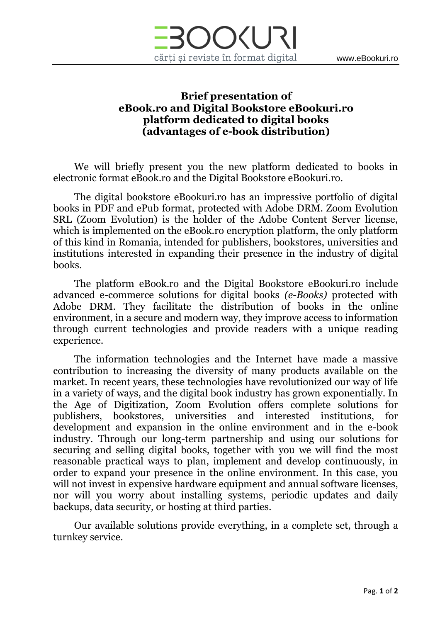

## **Brief presentation of eBook.ro and Digital Bookstore eBookuri.ro platform dedicated to digital books (advantages of e-book distribution)**

We will briefly present you the new platform dedicated to books in electronic format eBook.ro and the Digital Bookstore eBookuri.ro.

The digital bookstore eBookuri.ro has an impressive portfolio of digital books in PDF and ePub format, protected with Adobe DRM. Zoom Evolution SRL (Zoom Evolution) is the holder of the Adobe Content Server license, which is implemented on the eBook.ro encryption platform, the only platform of this kind in Romania, intended for publishers, bookstores, universities and institutions interested in expanding their presence in the industry of digital books.

The platform eBook.ro and the Digital Bookstore eBookuri.ro include advanced e-commerce solutions for digital books *(e-Books)* protected with Adobe DRM. They facilitate the distribution of books in the online environment, in a secure and modern way, they improve access to information through current technologies and provide readers with a unique reading experience.

The information technologies and the Internet have made a massive contribution to increasing the diversity of many products available on the market. In recent years, these technologies have revolutionized our way of life in a variety of ways, and the digital book industry has grown exponentially. In the Age of Digitization, Zoom Evolution offers complete solutions for publishers, bookstores, universities and interested institutions, for development and expansion in the online environment and in the e-book industry. Through our long-term partnership and using our solutions for securing and selling digital books, together with you we will find the most reasonable practical ways to plan, implement and develop continuously, in order to expand your presence in the online environment. In this case, you will not invest in expensive hardware equipment and annual software licenses, nor will you worry about installing systems, periodic updates and daily backups, data security, or hosting at third parties.

Our available solutions provide everything, in a complete set, through a turnkey service.